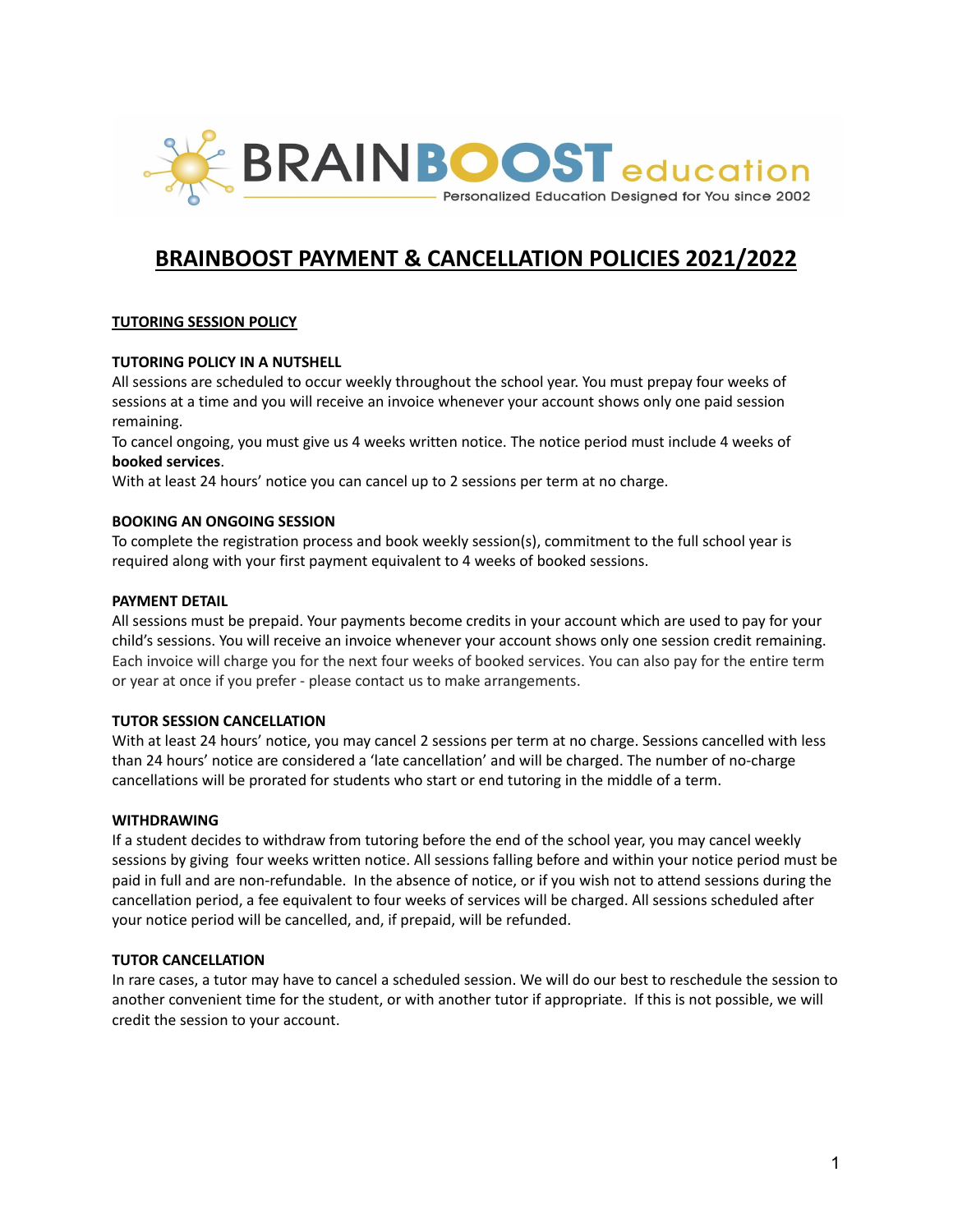

# **BRAINBOOST PAYMENT & CANCELLATION POLICIES 2021/2022**

# **TUTORING SESSION POLICY**

#### **TUTORING POLICY IN A NUTSHELL**

All sessions are scheduled to occur weekly throughout the school year. You must prepay four weeks of sessions at a time and you will receive an invoice whenever your account shows only one paid session remaining.

To cancel ongoing, you must give us 4 weeks written notice. The notice period must include 4 weeks of **booked services**.

With at least 24 hours' notice you can cancel up to 2 sessions per term at no charge.

#### **BOOKING AN ONGOING SESSION**

To complete the registration process and book weekly session(s), commitment to the full school year is required along with your first payment equivalent to 4 weeks of booked sessions.

#### **PAYMENT DETAIL**

All sessions must be prepaid. Your payments become credits in your account which are used to pay for your child's sessions. You will receive an invoice whenever your account shows only one session credit remaining. Each invoice will charge you for the next four weeks of booked services. You can also pay for the entire term or year at once if you prefer - please contact us to make arrangements.

#### **TUTOR SESSION CANCELLATION**

With at least 24 hours' notice, you may cancel 2 sessions per term at no charge. Sessions cancelled with less than 24 hours' notice are considered a 'late cancellation' and will be charged. The number of no-charge cancellations will be prorated for students who start or end tutoring in the middle of a term.

#### **WITHDRAWING**

If a student decides to withdraw from tutoring before the end of the school year, you may cancel weekly sessions by giving four weeks written notice. All sessions falling before and within your notice period must be paid in full and are non-refundable. In the absence of notice, or if you wish not to attend sessions during the cancellation period, a fee equivalent to four weeks of services will be charged. All sessions scheduled after your notice period will be cancelled, and, if prepaid, will be refunded.

#### **TUTOR CANCELLATION**

In rare cases, a tutor may have to cancel a scheduled session. We will do our best to reschedule the session to another convenient time for the student, or with another tutor if appropriate. If this is not possible, we will credit the session to your account.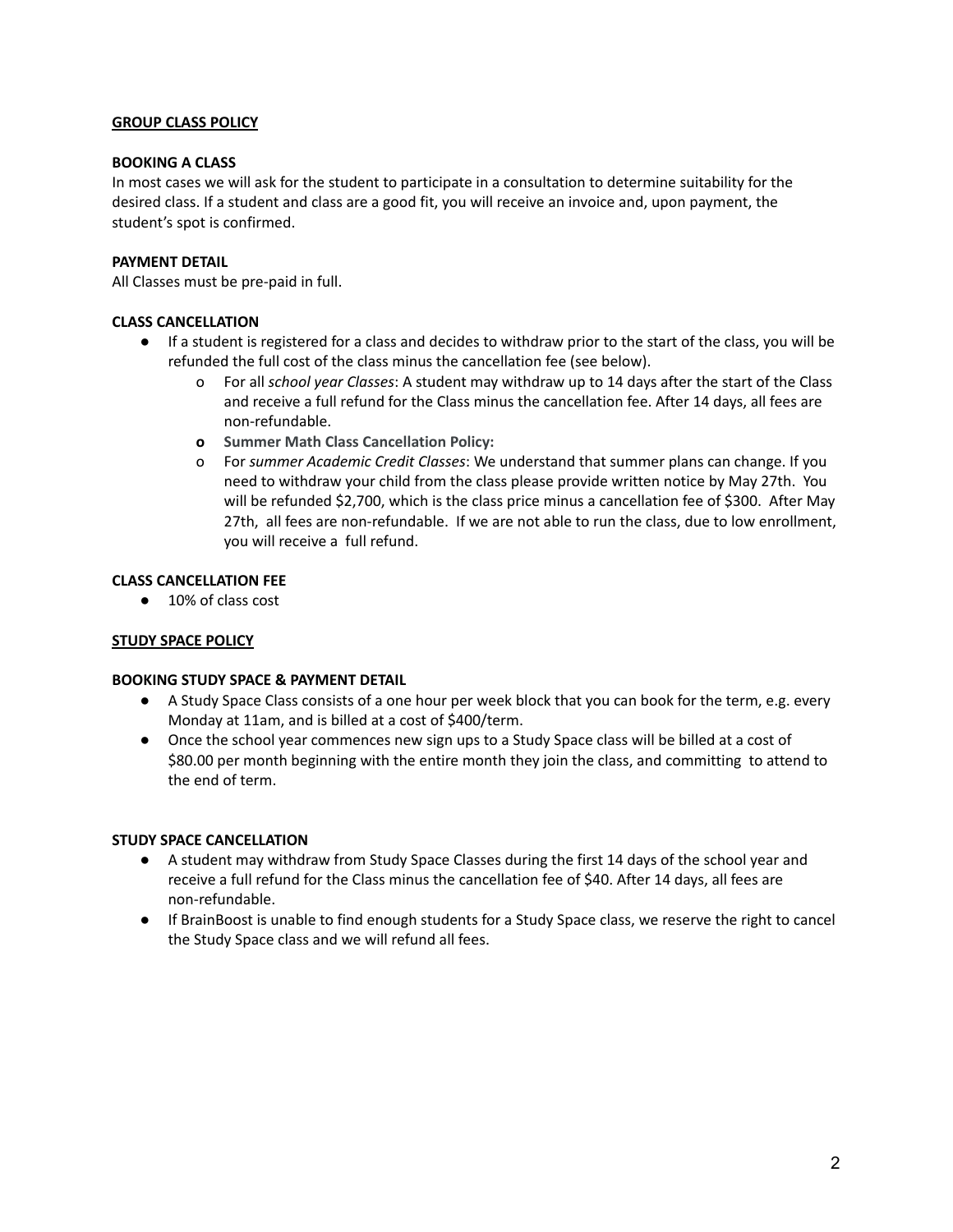# **GROUP CLASS POLICY**

#### **BOOKING A CLASS**

In most cases we will ask for the student to participate in a consultation to determine suitability for the desired class. If a student and class are a good fit, you will receive an invoice and, upon payment, the student's spot is confirmed.

## **PAYMENT DETAIL**

All Classes must be pre-paid in full.

# **CLASS CANCELLATION**

- If a student is registered for a class and decides to withdraw prior to the start of the class, you will be refunded the full cost of the class minus the cancellation fee (see below).
	- o For all *school year Classes*: A student may withdraw up to 14 days after the start of the Class and receive a full refund for the Class minus the cancellation fee. After 14 days, all fees are non-refundable.
	- **o Summer Math Class Cancellation Policy:**
	- o For *summer Academic Credit Classes*: We understand that summer plans can change. If you need to withdraw your child from the class please provide written notice by May 27th. You will be refunded \$2,700, which is the class price minus a cancellation fee of \$300. After May 27th, all fees are non-refundable. If we are not able to run the class, due to low enrollment, you will receive a full refund.

# **CLASS CANCELLATION FEE**

● 10% of class cost

#### **STUDY SPACE POLICY**

#### **BOOKING STUDY SPACE & PAYMENT DETAIL**

- A Study Space Class consists of a one hour per week block that you can book for the term, e.g. every Monday at 11am, and is billed at a cost of \$400/term.
- Once the school year commences new sign ups to a Study Space class will be billed at a cost of \$80.00 per month beginning with the entire month they join the class, and committing to attend to the end of term.

# **STUDY SPACE CANCELLATION**

- A student may withdraw from Study Space Classes during the first 14 days of the school year and receive a full refund for the Class minus the cancellation fee of \$40. After 14 days, all fees are non-refundable.
- If BrainBoost is unable to find enough students for a Study Space class, we reserve the right to cancel the Study Space class and we will refund all fees.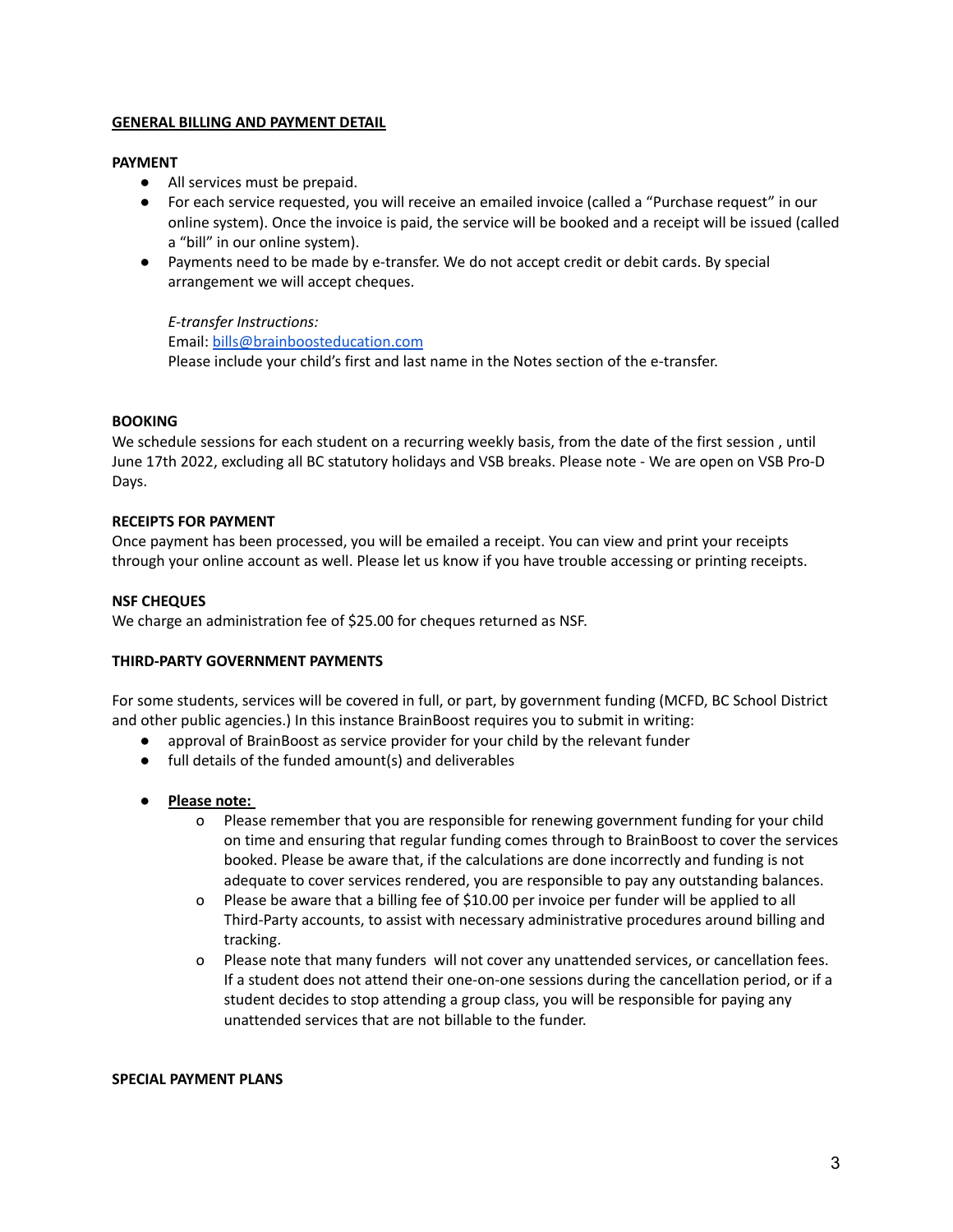## **GENERAL BILLING AND PAYMENT DETAIL**

#### **PAYMENT**

- All services must be prepaid.
- For each service requested, you will receive an emailed invoice (called a "Purchase request" in our online system). Once the invoice is paid, the service will be booked and a receipt will be issued (called a "bill" in our online system).
- Payments need to be made by e-transfer. We do not accept credit or debit cards. By special arrangement we will accept cheques.

*E-transfer Instructions:* Email: [bills@brainboosteducation.com](mailto:bills@brainboosteducation.com) Please include your child's first and last name in the Notes section of the e-transfer.

# **BOOKING**

We schedule sessions for each student on a recurring weekly basis, from the date of the first session , until June 17th 2022, excluding all BC statutory holidays and VSB breaks. Please note - We are open on VSB Pro-D Days.

# **RECEIPTS FOR PAYMENT**

Once payment has been processed, you will be emailed a receipt. You can view and print your receipts through your online account as well. Please let us know if you have trouble accessing or printing receipts.

# **NSF CHEQUES**

We charge an administration fee of \$25.00 for cheques returned as NSF.

#### **THIRD-PARTY GOVERNMENT PAYMENTS**

For some students, services will be covered in full, or part, by government funding (MCFD, BC School District and other public agencies.) In this instance BrainBoost requires you to submit in writing:

- approval of BrainBoost as service provider for your child by the relevant funder
- full details of the funded amount(s) and deliverables
- **Please note:**
	- o Please remember that you are responsible for renewing government funding for your child on time and ensuring that regular funding comes through to BrainBoost to cover the services booked. Please be aware that, if the calculations are done incorrectly and funding is not adequate to cover services rendered, you are responsible to pay any outstanding balances.
	- o Please be aware that a billing fee of \$10.00 per invoice per funder will be applied to all Third-Party accounts, to assist with necessary administrative procedures around billing and tracking.
	- o Please note that many funders will not cover any unattended services, or cancellation fees. If a student does not attend their one-on-one sessions during the cancellation period, or if a student decides to stop attending a group class, you will be responsible for paying any unattended services that are not billable to the funder.

#### **SPECIAL PAYMENT PLANS**